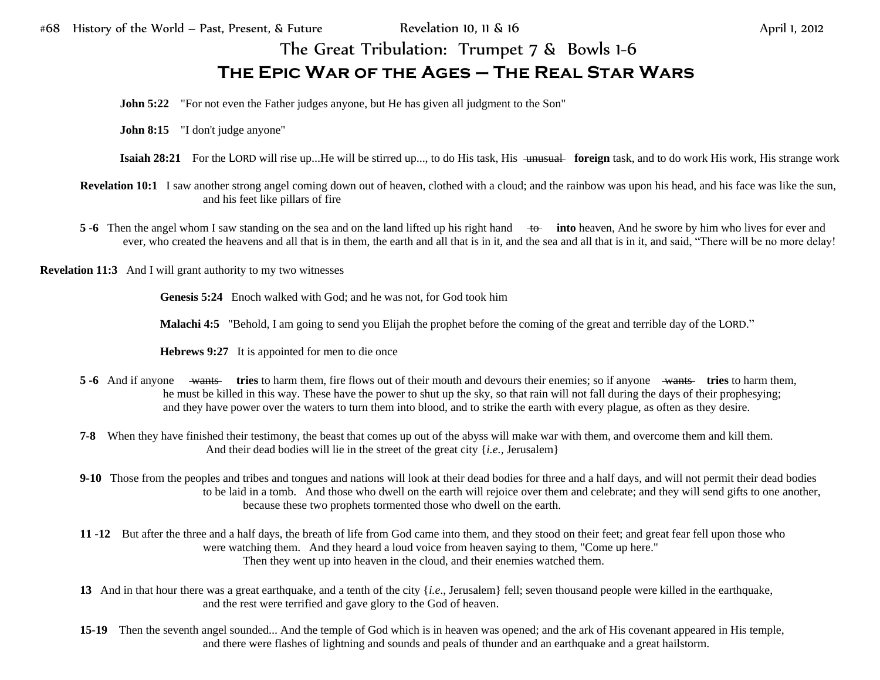## The Great Tribulation: Trumpet 7 & Bowls 1-6 **The Epic War of the Ages – The Real Star Wars**

**John 5:22** "For not even the Father judges anyone, but He has given all judgment to the Son"

**John 8:15** "I don't judge anyone"

- **Isaiah 28:21** For the LORD will rise up...He will be stirred up..., to do His task, His <del>unusual foreign</del> task, and to do work His work, His strange work
- **Revelation 10:1** I saw another strong angel coming down out of heaven, clothed with a cloud; and the rainbow was upon his head, and his face was like the sun, and his feet like pillars of fire
- **5 -6** Then the angel whom I saw standing on the sea and on the land lifted up his right hand to **into** heaven, And he swore by him who lives for ever and ever, who created the heavens and all that is in them, the earth and all that is in it, and the sea and all that is in it, and said, "There will be no more delay!

**Revelation 11:3** And I will grant authority to my two witnesses

**Genesis 5:24** Enoch walked with God; and he was not, for God took him

**Malachi 4:5** "Behold, I am going to send you Elijah the prophet before the coming of the great and terrible day of the LORD."

**Hebrews 9:27** It is appointed for men to die once

- **5 -6** And if anyone wants **tries** to harm them, fire flows out of their mouth and devours their enemies; so if anyone wants **tries** to harm them, he must be killed in this way. These have the power to shut up the sky, so that rain will not fall during the days of their prophesying; and they have power over the waters to turn them into blood, and to strike the earth with every plague, as often as they desire.
- **7-8** When they have finished their testimony, the beast that comes up out of the abyss will make war with them, and overcome them and kill them. And their dead bodies will lie in the street of the great city {*i.e.,* Jerusalem}
- **9-10** Those from the peoples and tribes and tongues and nations will look at their dead bodies for three and a half days, and will not permit their dead bodies to be laid in a tomb. And those who dwell on the earth will rejoice over them and celebrate; and they will send gifts to one another, because these two prophets tormented those who dwell on the earth.
- **11 -12** But after the three and a half days, the breath of life from God came into them, and they stood on their feet; and great fear fell upon those who were watching them. And they heard a loud voice from heaven saying to them, "Come up here." Then they went up into heaven in the cloud, and their enemies watched them.
- **13** And in that hour there was a great earthquake, and a tenth of the city {*i.e*., Jerusalem} fell; seven thousand people were killed in the earthquake, and the rest were terrified and gave glory to the God of heaven.
- **15-19** Then the seventh angel sounded... And the temple of God which is in heaven was opened; and the ark of His covenant appeared in His temple, and there were flashes of lightning and sounds and peals of thunder and an earthquake and a great hailstorm.